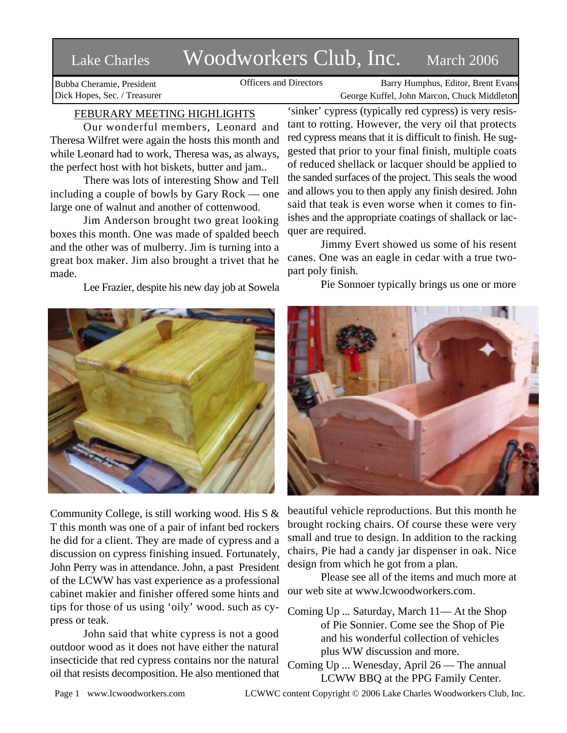# Lake Charles Woodworkers Club, Inc. March 2006

Bubba Cheramie, President Dick Hopes, Sec. / Treasurer

Officers and Directors Barry Humphus, Editor, Brent Evans George Kuffel, John Marcon, Chuck Middleton

## FEBURARY MEETING HIGHLIGHTS

Our wonderful members, Leonard and Theresa Wilfret were again the hosts this month and while Leonard had to work, Theresa was, as always, the perfect host with hot biskets, butter and jam..

There was lots of interesting Show and Tell including a couple of bowls by Gary Rock — one large one of walnut and another of cottenwood.

Jim Anderson brought two great looking boxes this month. One was made of spalded beech and the other was of mulberry. Jim is turning into a great box maker. Jim also brought a trivet that he made.

Lee Frazier, despite his new day job at Sowela



Community College, is still working wood. His S & T this month was one of a pair of infant bed rockers he did for a client. They are made of cypress and a discussion on cypress finishing insued. Fortunately, John Perry was in attendance. John, a past President of the LCWW has vast experience as a professional cabinet makier and finisher offered some hints and tips for those of us using 'oily' wood. such as cypress or teak.

John said that white cypress is not a good outdoor wood as it does not have either the natural insecticide that red cypress contains nor the natural oil that resists decomposition. He also mentioned that

'sinker' cypress (typically red cypress) is very resistant to rotting. However, the very oil that protects red cypress means that it is difficult to finish. He suggested that prior to your final finish, multiple coats of reduced shellack or lacquer should be applied to the sanded surfaces of the project. This seals the wood and allows you to then apply any finish desired. John said that teak is even worse when it comes to finishes and the appropriate coatings of shallack or lacquer are required.

Jimmy Evert showed us some of his resent canes. One was an eagle in cedar with a true twopart poly finish.

Pie Sonnoer typically brings us one or more



beautiful vehicle reproductions. But this month he brought rocking chairs. Of course these were very small and true to design. In addition to the racking chairs, Pie had a candy jar dispenser in oak. Nice design from which he got from a plan.

Please see all of the items and much more at our web site at www.lcwoodworkers.com.

Coming Up ... Saturday, March 11— At the Shop of Pie Sonnier. Come see the Shop of Pie and his wonderful collection of vehicles plus WW discussion and more.

Coming Up ... Wenesday, April 26 — The annual LCWW BBQ at the PPG Family Center.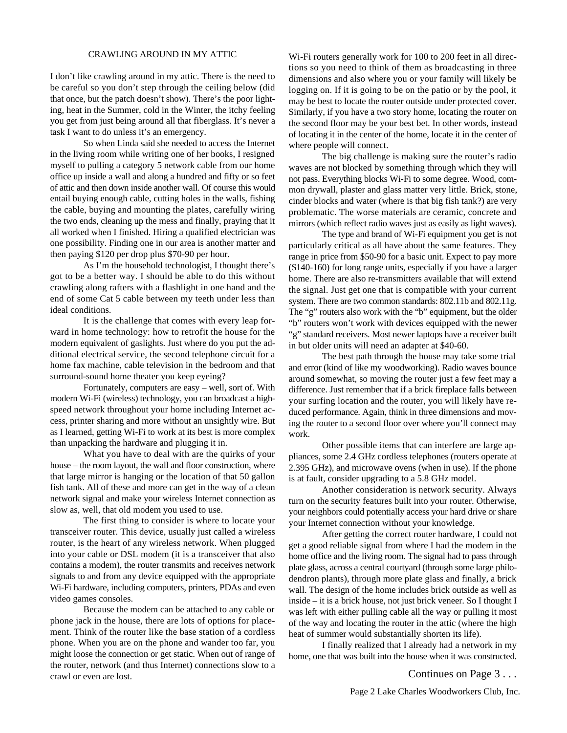#### CRAWLING AROUND IN MY ATTIC

I don't like crawling around in my attic. There is the need to be careful so you don't step through the ceiling below (did that once, but the patch doesn't show). There's the poor lighting, heat in the Summer, cold in the Winter, the itchy feeling you get from just being around all that fiberglass. It's never a task I want to do unless it's an emergency.

So when Linda said she needed to access the Internet in the living room while writing one of her books, I resigned myself to pulling a category 5 network cable from our home office up inside a wall and along a hundred and fifty or so feet of attic and then down inside another wall. Of course this would entail buying enough cable, cutting holes in the walls, fishing the cable, buying and mounting the plates, carefully wiring the two ends, cleaning up the mess and finally, praying that it all worked when I finished. Hiring a qualified electrician was one possibility. Finding one in our area is another matter and then paying \$120 per drop plus \$70-90 per hour.

As I'm the household technologist, I thought there's got to be a better way. I should be able to do this without crawling along rafters with a flashlight in one hand and the end of some Cat 5 cable between my teeth under less than ideal conditions.

It is the challenge that comes with every leap forward in home technology: how to retrofit the house for the modern equivalent of gaslights. Just where do you put the additional electrical service, the second telephone circuit for a home fax machine, cable television in the bedroom and that surround-sound home theater you keep eyeing?

Fortunately, computers are easy – well, sort of. With modern Wi-Fi (wireless) technology, you can broadcast a highspeed network throughout your home including Internet access, printer sharing and more without an unsightly wire. But as I learned, getting Wi-Fi to work at its best is more complex than unpacking the hardware and plugging it in.

What you have to deal with are the quirks of your house – the room layout, the wall and floor construction, where that large mirror is hanging or the location of that 50 gallon fish tank. All of these and more can get in the way of a clean network signal and make your wireless Internet connection as slow as, well, that old modem you used to use.

The first thing to consider is where to locate your transceiver router. This device, usually just called a wireless router, is the heart of any wireless network. When plugged into your cable or DSL modem (it is a transceiver that also contains a modem), the router transmits and receives network signals to and from any device equipped with the appropriate Wi-Fi hardware, including computers, printers, PDAs and even video games consoles.

Because the modem can be attached to any cable or phone jack in the house, there are lots of options for placement. Think of the router like the base station of a cordless phone. When you are on the phone and wander too far, you might loose the connection or get static. When out of range of the router, network (and thus Internet) connections slow to a crawl or even are lost.

Wi-Fi routers generally work for 100 to 200 feet in all directions so you need to think of them as broadcasting in three dimensions and also where you or your family will likely be logging on. If it is going to be on the patio or by the pool, it may be best to locate the router outside under protected cover. Similarly, if you have a two story home, locating the router on the second floor may be your best bet. In other words, instead of locating it in the center of the home, locate it in the center of where people will connect.

The big challenge is making sure the router's radio waves are not blocked by something through which they will not pass. Everything blocks Wi-Fi to some degree. Wood, common drywall, plaster and glass matter very little. Brick, stone, cinder blocks and water (where is that big fish tank?) are very problematic. The worse materials are ceramic, concrete and mirrors (which reflect radio waves just as easily as light waves).

The type and brand of Wi-Fi equipment you get is not particularly critical as all have about the same features. They range in price from \$50-90 for a basic unit. Expect to pay more (\$140-160) for long range units, especially if you have a larger home. There are also re-transmitters available that will extend the signal. Just get one that is compatible with your current system. There are two common standards: 802.11b and 802.11g. The "g" routers also work with the "b" equipment, but the older "b" routers won't work with devices equipped with the newer "g" standard receivers. Most newer laptops have a receiver built in but older units will need an adapter at \$40-60.

The best path through the house may take some trial and error (kind of like my woodworking). Radio waves bounce around somewhat, so moving the router just a few feet may a difference. Just remember that if a brick fireplace falls between your surfing location and the router, you will likely have reduced performance. Again, think in three dimensions and moving the router to a second floor over where you'll connect may work.

Other possible items that can interfere are large appliances, some 2.4 GHz cordless telephones (routers operate at 2.395 GHz), and microwave ovens (when in use). If the phone is at fault, consider upgrading to a 5.8 GHz model.

Another consideration is network security. Always turn on the security features built into your router. Otherwise, your neighbors could potentially access your hard drive or share your Internet connection without your knowledge.

After getting the correct router hardware, I could not get a good reliable signal from where I had the modem in the home office and the living room. The signal had to pass through plate glass, across a central courtyard (through some large philodendron plants), through more plate glass and finally, a brick wall. The design of the home includes brick outside as well as inside – it is a brick house, not just brick veneer. So I thought I was left with either pulling cable all the way or pulling it most of the way and locating the router in the attic (where the high heat of summer would substantially shorten its life).

I finally realized that I already had a network in my home, one that was built into the house when it was constructed.

Continues on Page 3 . . .